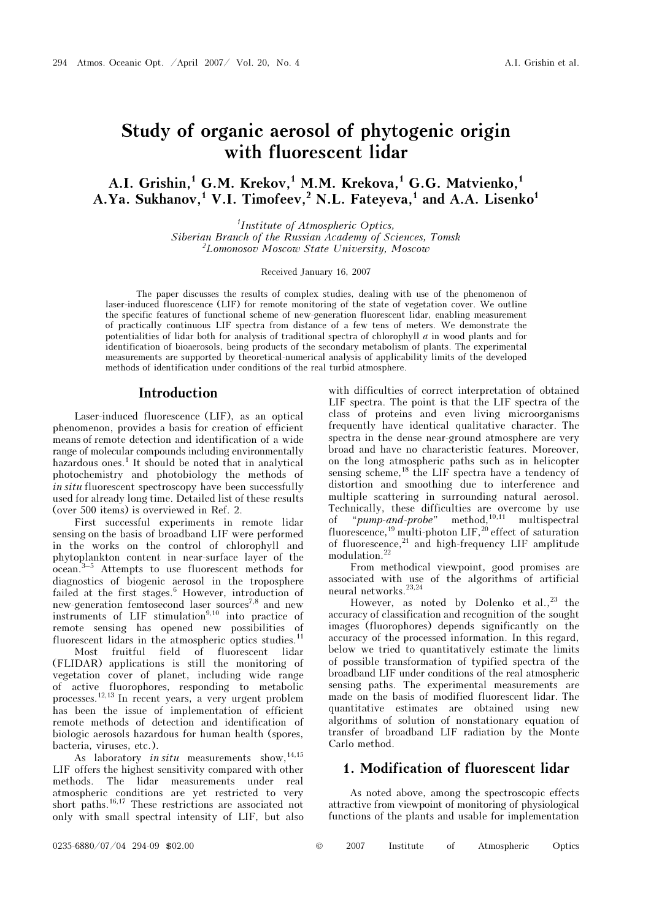# Study of organic aerosol of phytogenic origin with fluorescent lidar

# A.I. Grishin,<sup>1</sup> G.M. Krekov,<sup>1</sup> M.M. Krekova,<sup>1</sup> G.G. Matvienko,<sup>1</sup> A.Ya. Sukhanov,<sup>1</sup> V.I. Timofeev,<sup>2</sup> N.L. Fateyeva,<sup>1</sup> and A.A. Lisenko<sup>1</sup>

1 Institute of Atmospheric Optics, Siberian Branch of the Russian Academy of Sciences, Tomsk 2 Lomonosov Moscow State University, Moscow

#### Received January 16, 2007

The paper discusses the results of complex studies, dealing with use of the phenomenon of laser-induced fluorescence (LIF) for remote monitoring of the state of vegetation cover. We outline the specific features of functional scheme of new-generation fluorescent lidar, enabling measurement of practically continuous LIF spectra from distance of a few tens of meters. We demonstrate the potentialities of lidar both for analysis of traditional spectra of chlorophyll à in wood plants and for identification of bioaerosols, being products of the secondary metabolism of plants. The experimental measurements are supported by theoretical-numerical analysis of applicability limits of the developed methods of identification under conditions of the real turbid atmosphere.

#### Introduction

Laser-induced fluorescence (LIF), as an optical phenomenon, provides a basis for creation of efficient means of remote detection and identification of a wide range of molecular compounds including environmentally hazardous ones.<sup>1</sup> It should be noted that in analytical photochemistry and photobiology the methods of in situ fluorescent spectroscopy have been successfully used for already long time. Detailed list of these results (over 500 items) is overviewed in Ref. 2.

First successful experiments in remote lidar sensing on the basis of broadband LIF were performed in the works on the control of chlorophyll and phytoplankton content in near-surface layer of the ocean.3–5 Attempts to use fluorescent methods for diagnostics of biogenic aerosol in the troposphere failed at the first stages.<sup>6</sup> However, introduction of new-generation femtosecond laser sources<sup>7,8</sup> and new instruments of LIF stimulation $9,10$  into practice of remote sensing has opened new possibilities of fluorescent lidars in the atmospheric optics studies.<sup>11</sup>

 Most fruitful field of fluorescent lidar (FLIDAR) applications is still the monitoring of vegetation cover of planet, including wide range of active fluorophores, responding to metabolic processes.12,13 In recent years, a very urgent problem has been the issue of implementation of efficient remote methods of detection and identification of biologic aerosols hazardous for human health (spores, bacteria, viruses, etc.).

As laboratory in situ measurements show,  $14,15$ LIF offers the highest sensitivity compared with other methods. The lidar measurements under real atmospheric conditions are yet restricted to very short paths.16,17 These restrictions are associated not only with small spectral intensity of LIF, but also

with difficulties of correct interpretation of obtained LIF spectra. The point is that the LIF spectra of the class of proteins and even living microorganisms frequently have identical qualitative character. The spectra in the dense near-ground atmosphere are very broad and have no characteristic features. Moreover, on the long atmospheric paths such as in helicopter sensing scheme,<sup>18</sup> the LIF spectra have a tendency of distortion and smoothing due to interference and multiple scattering in surrounding natural aerosol. Technically, these difficulties are overcome by use of "pump-and-probe" method,<sup>10,11</sup> multispectral fluorescence,<sup>19</sup> multi-photon LIF,<sup>20</sup> effect of saturation of fluorescence, $21$  and high-frequency LIF amplitude modulation.<sup>22</sup>

From methodical viewpoint, good promises are associated with use of the algorithms of artificial neural networks. $23,24$ 

However, as noted by Dolenko et  $al.,<sup>23</sup>$  the accuracy of classification and recognition of the sought images (fluorophores) depends significantly on the accuracy of the processed information. In this regard, below we tried to quantitatively estimate the limits of possible transformation of typified spectra of the broadband LIF under conditions of the real atmospheric sensing paths. The experimental measurements are made on the basis of modified fluorescent lidar. The quantitative estimates are obtained using new algorithms of solution of nonstationary equation of transfer of broadband LIF radiation by the Monte Carlo method.

### 1. Modification of fluorescent lidar

As noted above, among the spectroscopic effects attractive from viewpoint of monitoring of physiological functions of the plants and usable for implementation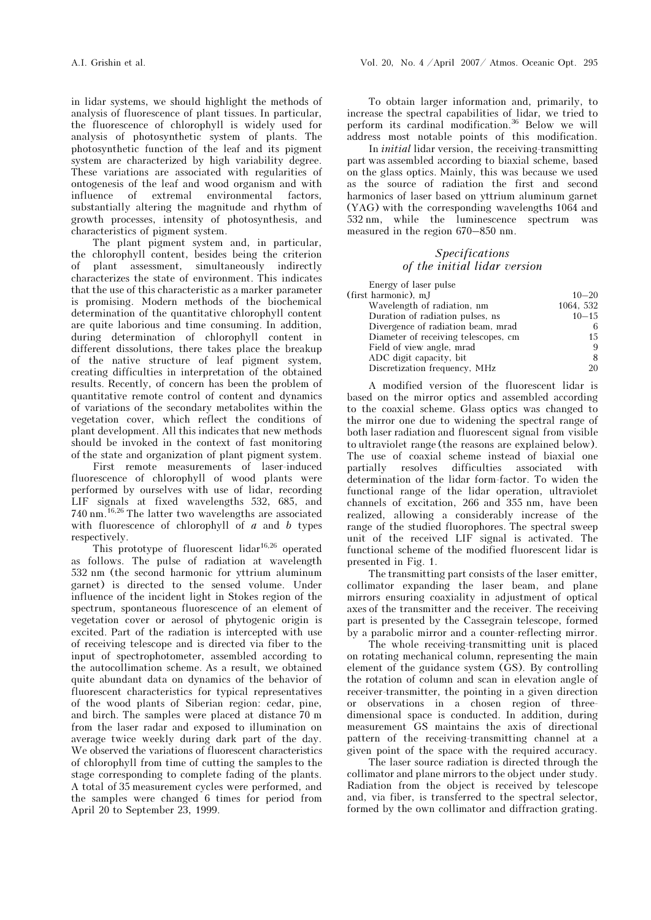in lidar systems, we should highlight the methods of analysis of fluorescence of plant tissues. In particular, the fluorescence of chlorophyll is widely used for analysis of photosynthetic system of plants. The photosynthetic function of the leaf and its pigment system are characterized by high variability degree. These variations are associated with regularities of ontogenesis of the leaf and wood organism and with influence of extremal environmental factors, substantially altering the magnitude and rhythm of growth processes, intensity of photosynthesis, and characteristics of pigment system.

The plant pigment system and, in particular, the chlorophyll content, besides being the criterion of plant assessment, simultaneously indirectly characterizes the state of environment. This indicates that the use of this characteristic as a marker parameter is promising. Modern methods of the biochemical determination of the quantitative chlorophyll content are quite laborious and time consuming. In addition, during determination of chlorophyll content in different dissolutions, there takes place the breakup of the native structure of leaf pigment system, creating difficulties in interpretation of the obtained results. Recently, of concern has been the problem of quantitative remote control of content and dynamics of variations of the secondary metabolites within the vegetation cover, which reflect the conditions of plant development. All this indicates that new methods should be invoked in the context of fast monitoring of the state and organization of plant pigment system.

First remote measurements of laser-induced fluorescence of chlorophyll of wood plants were performed by ourselves with use of lidar, recording LIF signals at fixed wavelengths 532, 685, and 740 nm.16,26 The latter two wavelengths are associated with fluorescence of chlorophyll of  $a$  and  $b$  types respectively.

This prototype of fluorescent lidar<sup>16,26</sup> operated as follows. The pulse of radiation at wavelength 532 nm (the second harmonic for yttrium aluminum garnet) is directed to the sensed volume. Under influence of the incident light in Stokes region of the spectrum, spontaneous fluorescence of an element of vegetation cover or aerosol of phytogenic origin is excited. Part of the radiation is intercepted with use of receiving telescope and is directed via fiber to the input of spectrophotometer, assembled according to the autocollimation scheme. As a result, we obtained quite abundant data on dynamics of the behavior of fluorescent characteristics for typical representatives of the wood plants of Siberian region: cedar, pine, and birch. The samples were placed at distance 70 m from the laser radar and exposed to illumination on average twice weekly during dark part of the day. We observed the variations of fluorescent characteristics of chlorophyll from time of cutting the samples to the stage corresponding to complete fading of the plants. A total of 35 measurement cycles were performed, and the samples were changed 6 times for period from April 20 to September 23, 1999.

To obtain larger information and, primarily, to increase the spectral capabilities of lidar, we tried to perform its cardinal modification.<sup>36</sup> Below we will address most notable points of this modification.

 In initial lidar version, the receiving-transmitting part was assembled according to biaxial scheme, based on the glass optics. Mainly, this was because we used as the source of radiation the first and second harmonics of laser based on yttrium aluminum garnet (YAG) with the corresponding wavelengths 1064 and 532 nm, while the luminescence spectrum was measured in the region 670–850 nm.

#### Specifications of the initial lidar version

| Energy of laser pulse                |           |
|--------------------------------------|-----------|
| (first harmonic), mJ                 | $10 - 20$ |
| Wavelength of radiation, nm          | 1064, 532 |
| Duration of radiation pulses, ns     | $10 - 15$ |
| Divergence of radiation beam, mrad   |           |
| Diameter of receiving telescopes, cm | 15        |
| Field of view angle, mrad            | 9         |
| ADC digit capacity, bit              |           |
| Discretization frequency, MHz        | 20        |
|                                      |           |

A modified version of the fluorescent lidar is based on the mirror optics and assembled according to the coaxial scheme. Glass optics was changed to the mirror one due to widening the spectral range of both laser radiation and fluorescent signal from visible to ultraviolet range (the reasons are explained below). The use of coaxial scheme instead of biaxial one partially resolves difficulties associated with determination of the lidar form-factor. To widen the functional range of the lidar operation, ultraviolet channels of excitation, 266 and 355 nm, have been realized, allowing a considerably increase of the range of the studied fluorophores. The spectral sweep unit of the received LIF signal is activated. The functional scheme of the modified fluorescent lidar is presented in Fig. 1.

The transmitting part consists of the laser emitter, collimator expanding the laser beam, and plane mirrors ensuring coaxiality in adjustment of optical axes of the transmitter and the receiver. The receiving part is presented by the Cassegrain telescope, formed by a parabolic mirror and a counter-reflecting mirror.

 The whole receiving-transmitting unit is placed on rotating mechanical column, representing the main element of the guidance system (GS). By controlling the rotation of column and scan in elevation angle of receiver-transmitter, the pointing in a given direction or observations in a chosen region of threedimensional space is conducted. In addition, during measurement GS maintains the axis of directional pattern of the receiving-transmitting channel at a given point of the space with the required accuracy.

 The laser source radiation is directed through the collimator and plane mirrors to the object under study. Radiation from the object is received by telescope and, via fiber, is transferred to the spectral selector, formed by the own collimator and diffraction grating.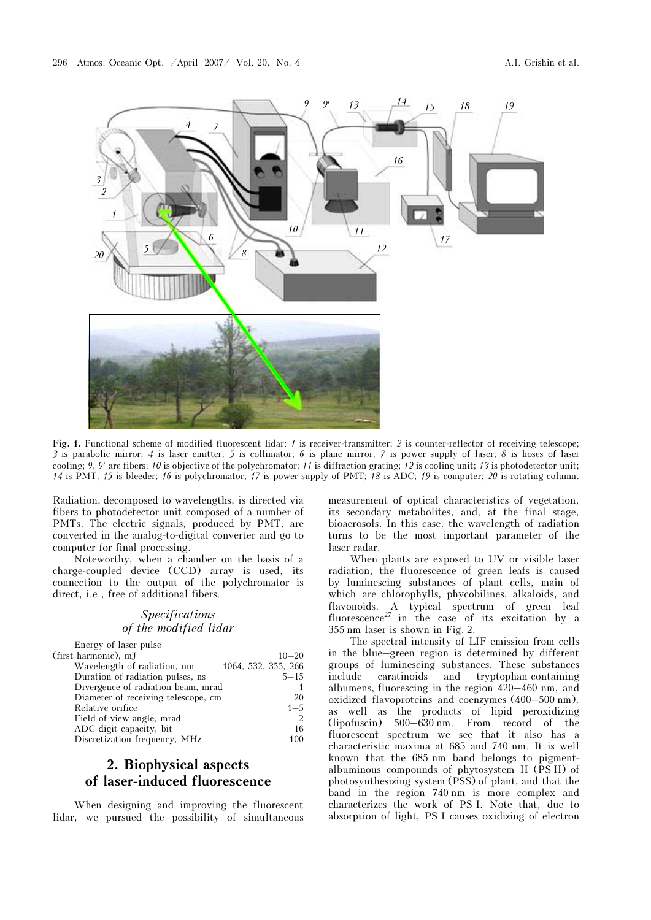

Fig. 1. Functional scheme of modified fluorescent lidar: 1 is receiver-transmitter; 2 is counter-reflector of receiving telescope; 3 is parabolic mirror; 4 is laser emitter; 5 is collimator; 6 is plane mirror; 7 is power supply of laser; 8 is hoses of laser cooling; 9, 9' are fibers; 10 is objective of the polychromator; 11 is diffraction grating; 12 14 is PMT; 15 is bleeder; 16 is polychromator; 17 is power supply of PMT;  $\overline{78}$  is ADC; 19 is computer; 20 is rotating column.

Radiation, decomposed to wavelengths, is directed via fibers to photodetector unit composed of a number of PMTs. The electric signals, produced by PMT, are converted in the analog-to-digital converter and go to computer for final processing.

Noteworthy, when a chamber on the basis of a charge-coupled device (CCD) array is used, its connection to the output of the polychromator is direct, i.e., free of additional fibers.

### Specifications of the modified lidar

| Energy of laser pulse               |                     |
|-------------------------------------|---------------------|
| (first harmonic), mJ                | $10 - 20$           |
| Wavelength of radiation, nm         | 1064, 532, 355, 266 |
| Duration of radiation pulses, ns    | $5 - 15$            |
| Divergence of radiation beam, mrad  |                     |
| Diameter of receiving telescope, cm | 20                  |
| Relative orifice                    | $1 - 5$             |
| Field of view angle, mrad           | $\overline{2}$      |
| ADC digit capacity, bit             | 16                  |
| Discretization frequency, MHz       | 100                 |

## 2. Biophysical aspects of laser-induced fluorescence

When designing and improving the fluorescent lidar, we pursued the possibility of simultaneous

measurement of optical characteristics of vegetation, its secondary metabolites, and, at the final stage, bioaerosols. In this case, the wavelength of radiation turns to be the most important parameter of the laser radar.

When plants are exposed to UV or visible laser radiation, the fluorescence of green leafs is caused by luminescing substances of plant cells, main of which are chlorophylls, phycobilines, alkaloids, and flavonoids. A typical spectrum of green leaf fluorescence<sup>27</sup> in the case of its excitation by a 355 nm laser is shown in Fig. 2.

The spectral intensity of LIF emission from cells in the blue–green region is determined by different groups of luminescing substances. These substances include caratinoids and tryptophan-containing albumens, fluorescing in the region 420–460 nm, and oxidized flavoproteins and coenzymes (400–500 nm), as well as the products of lipid peroxidizing (lipofuscin) 500–630 nm. From record of the fluorescent spectrum we see that it also has a characteristic maxima at 685 and 740 nm. It is well known that the 685 nm band belongs to pigmentalbuminous compounds of phytosystem II (PS II) of photosynthesizing system (PSS) of plant, and that the band in the region 740 nm is more complex and characterizes the work of PS I. Note that, due to absorption of light, PS I causes oxidizing of electron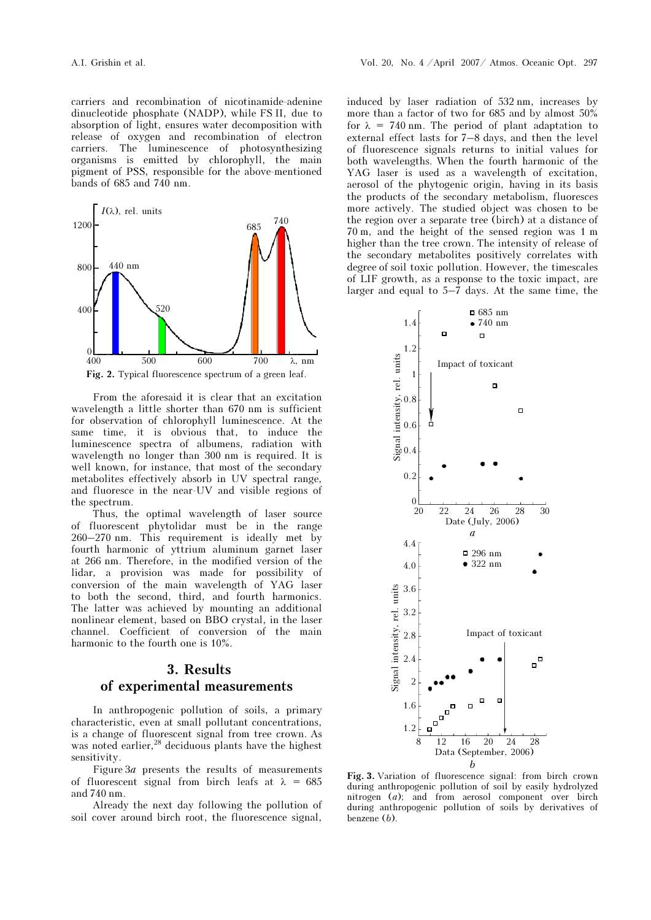carriers and recombination of nicotinamide-adenine dinucleotide phosphate (NADP), while FS II, due to absorption of light, ensures water decomposition with release of oxygen and recombination of electron carriers. The luminescence of photosynthesizing organisms is emitted by chlorophyll, the main pigment of PSS, responsible for the above-mentioned bands of 685 and 740 nm.



From the aforesaid it is clear that an excitation wavelength a little shorter than 670 nm is sufficient for observation of chlorophyll luminescence. At the same time, it is obvious that, to induce the luminescence spectra of albumens, radiation with wavelength no longer than 300 nm is required. It is well known, for instance, that most of the secondary metabolites effectively absorb in UV spectral range, and fluoresce in the near-UV and visible regions of the spectrum.

Thus, the optimal wavelength of laser source of fluorescent phytolidar must be in the range 260–270 nm. This requirement is ideally met by fourth harmonic of yttrium aluminum garnet laser at 266 nm. Therefore, in the modified version of the lidar, a provision was made for possibility of conversion of the main wavelength of YAG laser to both the second, third, and fourth harmonics. The latter was achieved by mounting an additional nonlinear element, based on BBO crystal, in the laser channel. Coefficient of conversion of the main harmonic to the fourth one is 10%.

# 3. Results of experimental measurements

In anthropogenic pollution of soils, a primary characteristic, even at small pollutant concentrations, is a change of fluorescent signal from tree crown. As was noted earlier, $^{28}$  deciduous plants have the highest sensitivity.

Figure  $3a$  presents the results of measurements of fluorescent signal from birch leafs at  $\lambda = 685$ and 740 nm.

Already the next day following the pollution of soil cover around birch root, the fluorescence signal,

induced by laser radiation of 532 nm, increases by more than a factor of two for 685 and by almost 50% for  $\lambda = 740$  nm. The period of plant adaptation to external effect lasts for 7–8 days, and then the level of fluorescence signals returns to initial values for both wavelengths. When the fourth harmonic of the YAG laser is used as a wavelength of excitation, aerosol of the phytogenic origin, having in its basis the products of the secondary metabolism, fluoresces more actively. The studied object was chosen to be the region over a separate tree (birch) at a distance of 70 m, and the height of the sensed region was 1 m higher than the tree crown. The intensity of release of the secondary metabolites positively correlates with degree of soil toxic pollution. However, the timescales of LIF growth, as a response to the toxic impact, are larger and equal to 5–7 days. At the same time, the



Fig. 3. Variation of fluorescence signal: from birch crown during anthropogenic pollution of soil by easily hydrolyzed nitrogen (*a*); and from aerosol component over birch during anthropogenic pollution of soils by derivatives of benzene (b).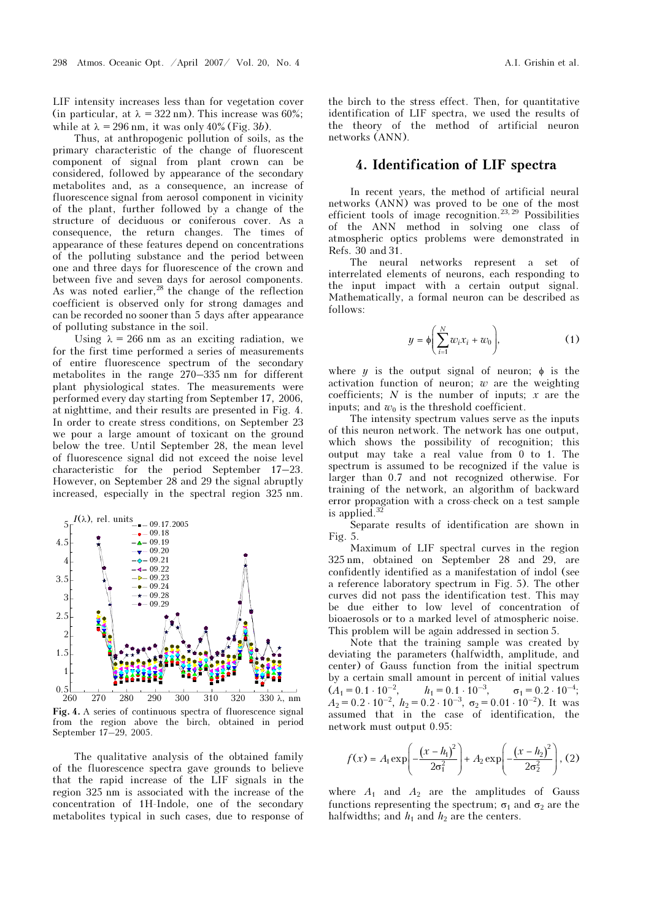LIF intensity increases less than for vegetation cover (in particular, at  $\lambda = 322$  nm). This increase was 60%; while at  $\lambda = 296$  nm, it was only 40% (Fig. 3b).

Thus, at anthropogenic pollution of soils, as the primary characteristic of the change of fluorescent component of signal from plant crown can be considered, followed by appearance of the secondary metabolites and, as a consequence, an increase of fluorescence signal from aerosol component in vicinity of the plant, further followed by a change of the structure of deciduous or coniferous cover. As a consequence, the return changes. The times of appearance of these features depend on concentrations of the polluting substance and the period between one and three days for fluorescence of the crown and between five and seven days for aerosol components. As was noted earlier,  $^{28}$  the change of the reflection coefficient is observed only for strong damages and can be recorded no sooner than 5 days after appearance of polluting substance in the soil.

Using  $\lambda = 266$  nm as an exciting radiation, we for the first time performed a series of measurements of entire fluorescence spectrum of the secondary metabolites in the range 270–335 nm for different plant physiological states. The measurements were performed every day starting from September 17, 2006, at nighttime, and their results are presented in Fig. 4. In order to create stress conditions, on September 23 we pour a large amount of toxicant on the ground below the tree. Until September 28, the mean level of fluorescence signal did not exceed the noise level characteristic for the period September 17–23. However, on September 28 and 29 the signal abruptly increased, especially in the spectral region 325 nm.



Fig. 4. A series of continuous spectra of fluorescence signal from the region above the birch, obtained in period September 17–29, 2005.

The qualitative analysis of the obtained family of the fluorescence spectra gave grounds to believe that the rapid increase of the LIF signals in the region 325 nm is associated with the increase of the concentration of 1H-Indole, one of the secondary metabolites typical in such cases, due to response of the birch to the stress effect. Then, for quantitative identification of LIF spectra, we used the results of the theory of the method of artificial neuron networks (ANN).

### 4. Identification of LIF spectra

In recent years, the method of artificial neural networks (ANN) was proved to be one of the most efficient tools of image recognition.<sup>23, 29</sup> Possibilities of the ANN method in solving one class of atmospheric optics problems were demonstrated in Refs. 30 and 31.

The neural networks represent a set of interrelated elements of neurons, each responding to the input impact with a certain output signal. Mathematically, a formal neuron can be described as follows:

$$
y = \phi\left(\sum_{i=1}^{N} w_i x_i + w_0\right),\tag{1}
$$

where *y* is the output signal of neuron;  $\phi$  is the activation function of neuron;  $w$  are the weighting coefficients;  $N$  is the number of inputs;  $x$  are the inputs; and  $w_0$  is the threshold coefficient.

The intensity spectrum values serve as the inputs of this neuron network. The network has one output, which shows the possibility of recognition; this output may take a real value from 0 to 1. The spectrum is assumed to be recognized if the value is larger than 0.7 and not recognized otherwise. For training of the network, an algorithm of backward error propagation with a cross-check on a test sample is applied. $32$ 

Separate results of identification are shown in Fig. 5.

Maximum of LIF spectral curves in the region 325 nm, obtained on September 28 and 29, are confidently identified as a manifestation of indol (see a reference laboratory spectrum in Fig. 5). The other curves did not pass the identification test. This may be due either to low level of concentration of bioaerosols or to a marked level of atmospheric noise. This problem will be again addressed in section 5.

Note that the training sample was created by deviating the parameters (halfwidth, amplitude, and center) of Gauss function from the initial spectrum by a certain small amount in percent of initial values  $(A_1 = 0.1 \cdot 10^{-2}, \quad h_1 = 0.1 \cdot 10^{-3}, \quad \sigma_1 = 0.2 \cdot 10^{-4};$  $A_2 = 0.2 \cdot 10^{-2}$ ,  $h_2 = 0.2 \cdot 10^{-3}$ ,  $\sigma_2 = 0.01 \cdot 10^{-2}$ ). It was assumed that in the case of identification, the network must output 0.95:

$$
f(x) = A_1 \exp\left(-\frac{(x - h_1)^2}{2\sigma_1^2}\right) + A_2 \exp\left(-\frac{(x - h_2)^2}{2\sigma_2^2}\right), (2)
$$

where  $A_1$  and  $A_2$  are the amplitudes of Gauss functions representing the spectrum;  $\sigma_1$  and  $\sigma_2$  are the halfwidths; and  $h_1$  and  $h_2$  are the centers.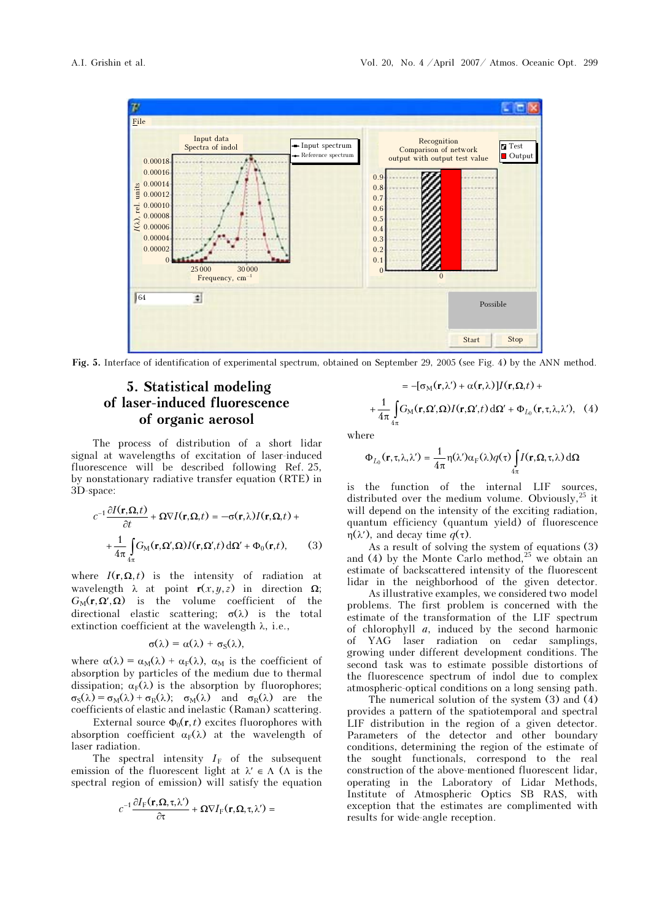

Fig. 5. Interface of identification of experimental spectrum, obtained on September 29, 2005 (see Fig. 4) by the ANN method.

## 5. Statistical modeling of laser-induced fluorescence of organic aerosol

The process of distribution of a short lidar signal at wavelengths of excitation of laser-induced fluorescence will be described following Ref. 25, by nonstationary radiative transfer equation (RTE) in −3D-space:

$$
c^{-1} \frac{\partial I(\mathbf{r}, \Omega, t)}{\partial t} + \Omega \nabla I(\mathbf{r}, \Omega, t) = -\sigma(\mathbf{r}, \lambda) I(\mathbf{r}, \Omega, t) + + \frac{1}{4\pi} \int_{4\pi} G_M(\mathbf{r}, \Omega', \Omega) I(\mathbf{r}, \Omega', t) d\Omega' + \Phi_0(\mathbf{r}, t),
$$
 (3)

where  $I(\mathbf{r}, \mathbf{\Omega}, t)$  is the intensity of radiation at wavelength  $\lambda$  at point  $\mathbf{r}(x,y,z)$  in direction  $\Omega$ ;  $G_M(\mathbf{r}, \Omega', \Omega)$  is the volume coefficient of the directional elastic scattering;  $\sigma(\lambda)$  is the total extinction coefficient at the wavelength  $\lambda$ , i.e.,

$$
\sigma(\lambda)=\alpha(\lambda)+\sigma_S(\lambda),
$$

where  $\alpha(\lambda) = \alpha_M(\lambda) + \alpha_F(\lambda)$ ,  $\alpha_M$  is the coefficient of absorption by particles of the medium due to thermal dissipation;  $\alpha_F(\lambda)$  is the absorption by fluorophores;  $\sigma_S(\lambda) = \sigma_M(\lambda) + \sigma_R(\lambda); \quad \sigma_M(\lambda)$  and  $\sigma_R(\lambda)$  are the coefficients of elastic and inelastic (Raman) scattering.

External source  $\Phi_0(\mathbf{r},t)$  excites fluorophores with absorption coefficient  $\alpha_F(\lambda)$  at the wavelength of laser radiation.

The spectral intensity  $I_F$  of the subsequent emission of the fluorescent light at  $\lambda' \in \Lambda$  ( $\Lambda$  is the spectral region of emission) will satisfy the equation  $c^{-1} \frac{\partial I_F(\mathbf{r}, \mathbf{\Omega}, \tau, \lambda')}{\partial \tau} + \Omega \nabla I_F(\mathbf{r}, \mathbf{\Omega}, \tau, \lambda') =$ spectral region of emission) will satisfy the equation

$$
c^{-1}\frac{\partial I_{\mathrm{F}}(\mathbf{r},\mathbf{\Omega},\tau,\lambda')}{\partial \tau} + \mathbf{\Omega}\nabla I_{\mathrm{F}}(\mathbf{r},\mathbf{\Omega},\tau,\lambda') =
$$

$$
= -[\sigma_{M}(\mathbf{r},\lambda') + \alpha(\mathbf{r},\lambda)]I(\mathbf{r},\Omega,t) +
$$

$$
+ \frac{1}{4\pi} \int_{4\pi} G_{M}(\mathbf{r},\Omega',\Omega)I(\mathbf{r},\Omega',t) d\Omega' + \Phi_{L_{0}}(\mathbf{r},\tau,\lambda,\lambda'), (4)
$$

where

$$
\Phi_{L_0}(\mathbf{r}, \tau, \lambda, \lambda') = \frac{1}{4\pi} \eta(\lambda') \alpha_F(\lambda) q(\tau) \int_{4\pi} I(\mathbf{r}, \Omega, \tau, \lambda) d\Omega
$$

is the function of the internal LIF sources, distributed over the medium volume. Obviously,  $25$  it will depend on the intensity of the exciting radiation, quantum efficiency (quantum yield) of fluorescence η(λ'), and decay time  $q(\tau)$ .

As a result of solving the system of equations (3) and (4) by the Monte Carlo method,  $^{25}$  we obtain an estimate of backscattered intensity of the fluorescent lidar in the neighborhood of the given detector.

 As illustrative examples, we considered two model problems. The first problem is concerned with the estimate of the transformation of the LIF spectrum of chlorophyll a, induced by the second harmonic of YAG laser radiation on cedar samplings, growing under different development conditions. The second task was to estimate possible distortions of the fluorescence spectrum of indol due to complex atmospheric-optical conditions on a long sensing path.

 The numerical solution of the system (3) and (4) provides a pattern of the spatiotemporal and spectral LIF distribution in the region of a given detector. Parameters of the detector and other boundary conditions, determining the region of the estimate of the sought functionals, correspond to the real construction of the above-mentioned fluorescent lidar, operating in the Laboratory of Lidar Methods, Institute of Atmospheric Optics SB RAS, with exception that the estimates are complimented with results for wide-angle reception.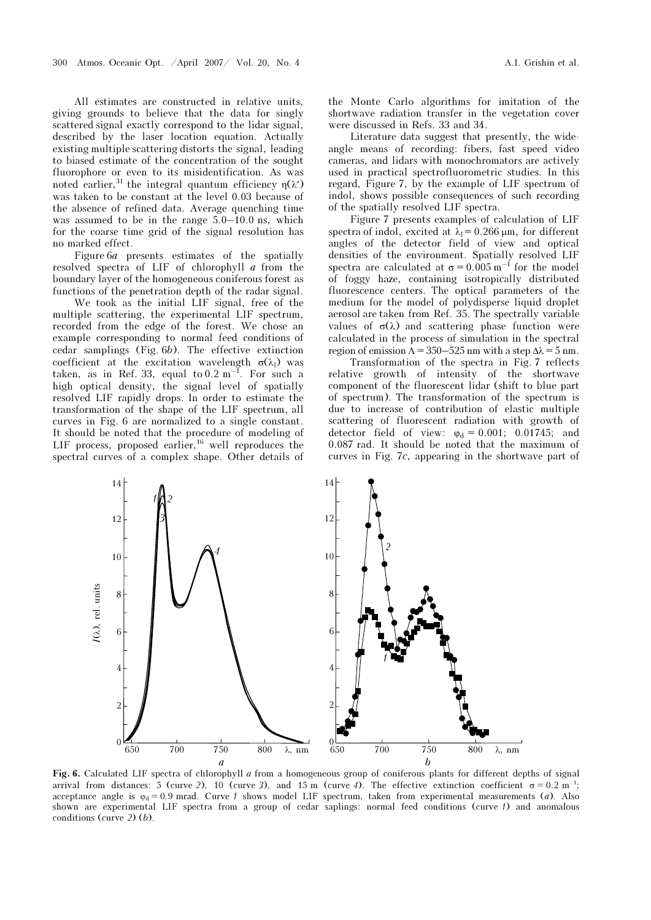All estimates are constructed in relative units, giving grounds to believe that the data for singly scattered signal exactly correspond to the lidar signal, described by the laser location equation. Actually existing multiple scattering distorts the signal, leading to biased estimate of the concentration of the sought fluorophore or even to its misidentification. As was noted earlier,<sup>31</sup> the integral quantum efficiency η(λ') was taken to be constant at the level 0.03 because of the absence of refined data. Average quenching time was assumed to be in the range 5.0–10.0 ns, which for the coarse time grid of the signal resolution has no marked effect.

Figure  $6a$  presents estimates of the spatially resolved spectra of LIF of chlorophyll  $a$  from the boundary layer of the homogeneous coniferous forest as functions of the penetration depth of the radar signal.

 We took as the initial LIF signal, free of the multiple scattering, the experimental LIF spectrum, recorded from the edge of the forest. We chose an example corresponding to normal feed conditions of cedar samplings (Fig. 6b). The effective extinction coefficient at the excitation wavelength  $\sigma(\lambda_1)$  was taken, as in Ref. 33, equal to  $0.2 \text{ m}^{-1}$ . For such a high optical density, the signal level of spatially resolved LIF rapidly drops. In order to estimate the transformation of the shape of the LIF spectrum, all curves in Fig. 6 are normalized to a single constant. It should be noted that the procedure of modeling of LIF process, proposed earlier,  $^{16}$  well reproduces the spectral curves of a complex shape. Other details of the Monte Carlo algorithms for imitation of the shortwave radiation transfer in the vegetation cover were discussed in Refs. 33 and 34.

Literature data suggest that presently, the wideangle means of recording: fibers, fast speed video cameras, and lidars with monochromators are actively used in practical spectrofluorometric studies. In this regard, Figure 7, by the example of LIF spectrum of indol, shows possible consequences of such recording of the spatially resolved LIF spectra.

Figure 7 presents examples of calculation of LIF spectra of indol, excited at  $\lambda_1 = 0.266 \,\mu\text{m}$ , for different angles of the detector field of view and optical densities of the environment. Spatially resolved LIF spectra are calculated at  $\sigma = 0.005$  m<sup>-1</sup> for the model of foggy haze, containing isotropically distributed fluorescence centers. The optical parameters of the medium for the model of polydisperse liquid droplet aerosol are taken from Ref. 35. The spectrally variable values of  $\sigma(\lambda)$  and scattering phase function were calculated in the process of simulation in the spectral region of emission  $\Lambda = 350 - 525$  nm with a step  $\Delta \lambda = 5$  nm.

 Transformation of the spectra in Fig. 7 reflects relative growth of intensity of the shortwave component of the fluorescent lidar (shift to blue part of spectrum). The transformation of the spectrum is due to increase of contribution of elastic multiple scattering of fluorescent radiation with growth of detector field of view:  $\varphi_d = 0.001$ ; 0.01745; and 0.087 rad. It should be noted that the maximum of curves in Fig. 7c, appearing in the shortwave part of



Fig. 6. Calculated LIF spectra of chlorophyll  $a$  from a homogeneous group of coniferous plants for different depths of signal arrival from distances: 5 (curve 2), 10 (curve 3), and 15 m (curve 4). The effective extinction coefficient σ = 0.2 m<sup>-1</sup>; acceptance angle is  $\varphi_d = 0.9$  mrad. Curve f shows model LIF spectrum, taken from experimental measurements (a). Also shown are experimental LIF spectra from a group of cedar saplings: normal feed conditions (curve  $\ell$ ) and anomalous conditions (curve 2) (b).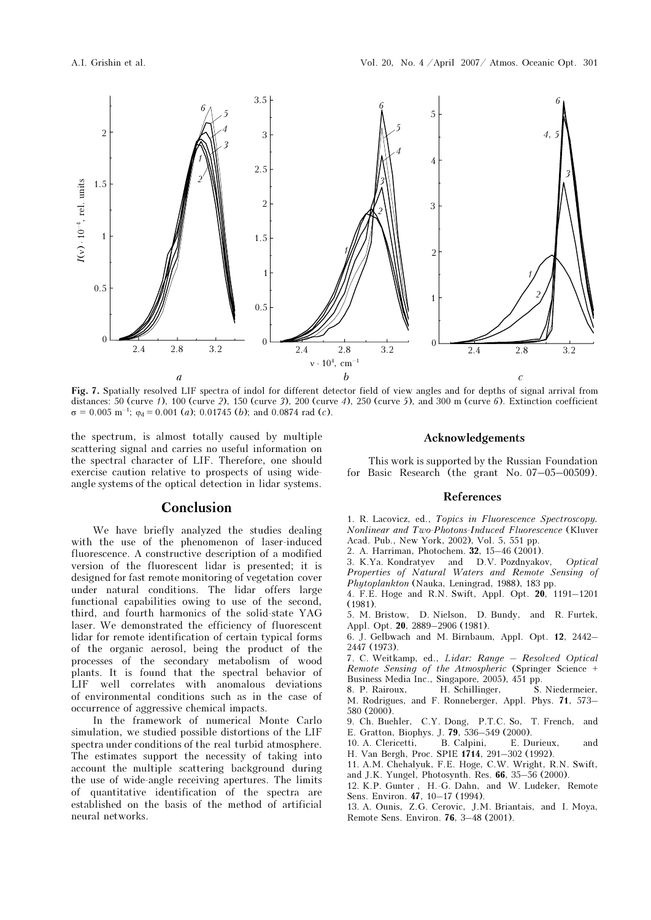

Fig. 7. Spatially resolved LIF spectra of indol for different detector field of view angles and for depths of signal arrival from distances: 50 (curve 1), 100 (curve 2), 150 (curve 3), 200 (curve 4), 250 (curve 5), and 300 m (curve 6). Extinction coefficient  $\sigma = 0.005$  m<sup>-1</sup>;  $\varphi_d = 0.001$  (*a*); 0.01745 (*b*); and 0.0874 rad (*c*).

the spectrum, is almost totally caused by multiple scattering signal and carries no useful information on the spectral character of LIF. Therefore, one should exercise caution relative to prospects of using wideangle systems of the optical detection in lidar systems.

### Conclusion

We have briefly analyzed the studies dealing with the use of the phenomenon of laser-induced fluorescence. A constructive description of a modified version of the fluorescent lidar is presented; it is designed for fast remote monitoring of vegetation cover under natural conditions. The lidar offers large functional capabilities owing to use of the second, third, and fourth harmonics of the solid-state YAG laser. We demonstrated the efficiency of fluorescent lidar for remote identification of certain typical forms of the organic aerosol, being the product of the processes of the secondary metabolism of wood plants. It is found that the spectral behavior of LIF well correlates with anomalous deviations of environmental conditions such as in the case of occurrence of aggressive chemical impacts.

In the framework of numerical Monte Carlo simulation, we studied possible distortions of the LIF spectra under conditions of the real turbid atmosphere. The estimates support the necessity of taking into account the multiple scattering background during the use of wide-angle receiving apertures. The limits of quantitative identification of the spectra are established on the basis of the method of artificial neural networks.

#### Acknowledgements

This work is supported by the Russian Foundation for Basic Research (the grant No. 07–05–00509).

#### References

1. R. Lacovicz, ed., Topics in Fluorescence Spectroscopy. Nonlinear and Two-Photons-Induced Fluorescence (Kluver Acad. Pub., New York, 2002), Vol. 5, 551 pp.

- 2. A. Harriman, Photochem. 32, 15–46 (2001).
- 3. K.Ya. Kondratyev and D.V. Pozdnyakov, Optical Properties of Natural Waters and Remote Sensing of Phytoplankton (Nauka, Leningrad, 1988), 183 pp.
- 4. F.E. Hoge and R.N. Swift, Appl. Opt. 20, 1191–1201 (1981).
- 5. M. Bristow, D. Nielson, D. Bundy, and R. Furtek, Appl. Opt. 20, 2889–2906 (1981).
- 6. J. Gelbwach and M. Birnbaum, Appl. Opt. 12, 2442– 2447 (1973).
- 7. C. Weitkamp, ed., Lidar: Range Resolved Optical Remote Sensing of the Atmospheric (Springer Science + Business Media Inc., Singapore, 2005), 451 pp.
- 8. P. Rairoux, H. Schillinger, S. Niedermeier, M. Rodrigues, and F. Ronneberger, Appl. Phys. 71, 573– 580 (2000).
- 9. Ch. Buehler, C.Y. Dong, P.T.C. So, T. French, and
- E. Gratton, Biophys. J. **79**, 536–549 (2000).<br>10. A. Clericetti. B. Calpini. E. Durieux. 10. A. Clericetti, B. Calpini, E. Durieux, and H. Van Bergh, Proc. SPIE 1714, 291–302 (1992).
- 11. A.M. Chehalyuk, F.E. Hoge, C.W. Wright, R.N. Swift,
- and J.K. Yungel, Photosynth. Res. 66, 35–56 (2000).
- 12. K.P. Gunter , H.-G. Dahn, and W. Ludeker, Remote
- Sens. Environ. 47, 10–17 (1994). 13. A. Ounis, Z.G. Cerovic, J.M. Briantais, and I. Moya, Remote Sens. Environ. 76, 3–48 (2001).